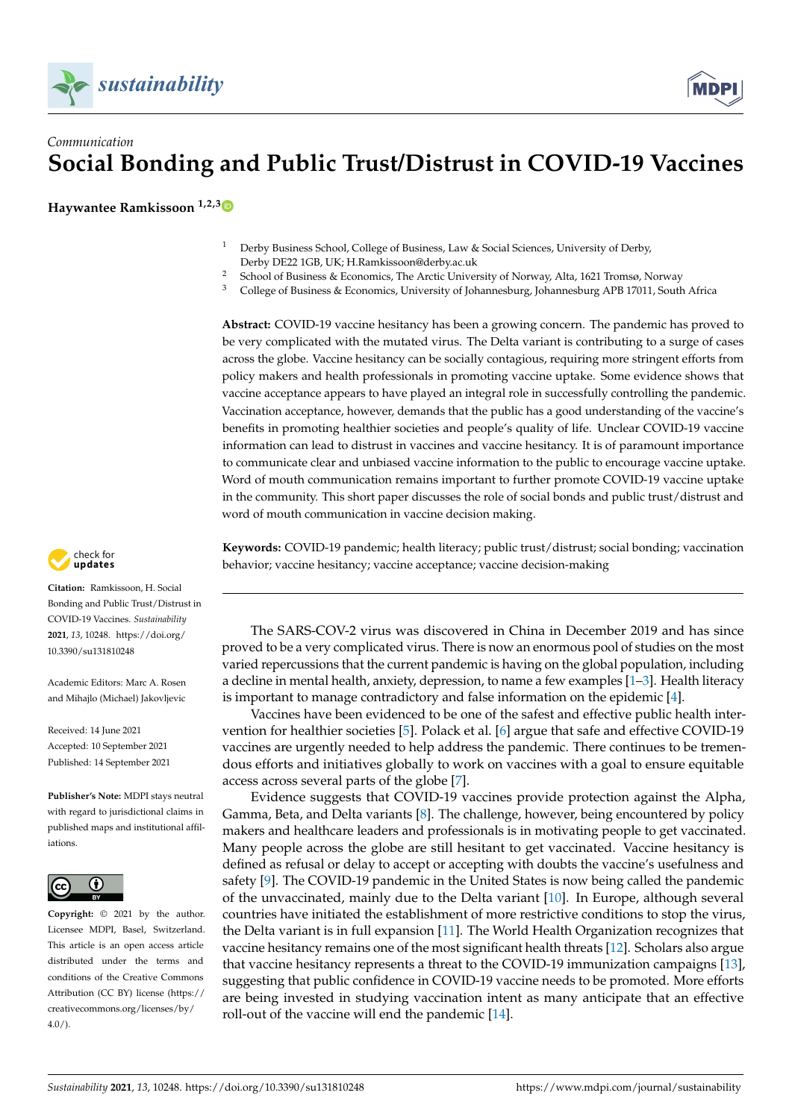

## *Communication* **Social Bonding and Public Trust/Distrust in COVID-19 Vaccines**

**Haywantee Ramkissoon 1,2,[3](https://orcid.org/0000-0002-2603-0473)**

- <sup>1</sup> Derby Business School, College of Business, Law & Social Sciences, University of Derby, Derby DE22 1GB, UK; H.Ramkissoon@derby.ac.uk
- <sup>2</sup> School of Business & Economics, The Arctic University of Norway, Alta, 1621 Tromsø, Norway<br><sup>3</sup> Cellege of Business & Economics, University of Johannesburg, Johannesburg, ADP 17011, South
- <sup>3</sup> College of Business & Economics, University of Johannesburg, Johannesburg APB 17011, South Africa

**Abstract:** COVID-19 vaccine hesitancy has been a growing concern. The pandemic has proved to be very complicated with the mutated virus. The Delta variant is contributing to a surge of cases across the globe. Vaccine hesitancy can be socially contagious, requiring more stringent efforts from policy makers and health professionals in promoting vaccine uptake. Some evidence shows that vaccine acceptance appears to have played an integral role in successfully controlling the pandemic. Vaccination acceptance, however, demands that the public has a good understanding of the vaccine's benefits in promoting healthier societies and people's quality of life. Unclear COVID-19 vaccine information can lead to distrust in vaccines and vaccine hesitancy. It is of paramount importance to communicate clear and unbiased vaccine information to the public to encourage vaccine uptake. Word of mouth communication remains important to further promote COVID-19 vaccine uptake in the community. This short paper discusses the role of social bonds and public trust/distrust and word of mouth communication in vaccine decision making.

**Keywords:** COVID-19 pandemic; health literacy; public trust/distrust; social bonding; vaccination behavior; vaccine hesitancy; vaccine acceptance; vaccine decision-making

The SARS-COV-2 virus was discovered in China in December 2019 and has since proved to be a very complicated virus. There is now an enormous pool of studies on the most varied repercussions that the current pandemic is having on the global population, including a decline in mental health, anxiety, depression, to name a few examples [\[1](#page-3-0)[–3\]](#page-3-1). Health literacy is important to manage contradictory and false information on the epidemic [\[4\]](#page-3-2).

Vaccines have been evidenced to be one of the safest and effective public health intervention for healthier societies [\[5\]](#page-3-3). Polack et al. [\[6\]](#page-3-4) argue that safe and effective COVID-19 vaccines are urgently needed to help address the pandemic. There continues to be tremendous efforts and initiatives globally to work on vaccines with a goal to ensure equitable access across several parts of the globe [\[7\]](#page-3-5).

Evidence suggests that COVID-19 vaccines provide protection against the Alpha, Gamma, Beta, and Delta variants [\[8\]](#page-3-6). The challenge, however, being encountered by policy makers and healthcare leaders and professionals is in motivating people to get vaccinated. Many people across the globe are still hesitant to get vaccinated. Vaccine hesitancy is defined as refusal or delay to accept or accepting with doubts the vaccine's usefulness and safety [\[9\]](#page-3-7). The COVID-19 pandemic in the United States is now being called the pandemic of the unvaccinated, mainly due to the Delta variant [\[10\]](#page-3-8). In Europe, although several countries have initiated the establishment of more restrictive conditions to stop the virus, the Delta variant is in full expansion [\[11\]](#page-3-9). The World Health Organization recognizes that vaccine hesitancy remains one of the most significant health threats [\[12\]](#page-3-10). Scholars also argue that vaccine hesitancy represents a threat to the COVID-19 immunization campaigns [\[13\]](#page-3-11), suggesting that public confidence in COVID-19 vaccine needs to be promoted. More efforts are being invested in studying vaccination intent as many anticipate that an effective roll-out of the vaccine will end the pandemic [\[14\]](#page-3-12).



**Citation:** Ramkissoon, H. Social Bonding and Public Trust/Distrust in COVID-19 Vaccines. *Sustainability* **2021**, *13*, 10248. [https://doi.org/](https://doi.org/10.3390/su131810248) [10.3390/su131810248](https://doi.org/10.3390/su131810248)

Academic Editors: Marc A. Rosen and Mihajlo (Michael) Jakovljevic

Received: 14 June 2021 Accepted: 10 September 2021 Published: 14 September 2021

**Publisher's Note:** MDPI stays neutral with regard to jurisdictional claims in published maps and institutional affiliations.



**Copyright:** © 2021 by the author. Licensee MDPI, Basel, Switzerland. This article is an open access article distributed under the terms and conditions of the Creative Commons Attribution (CC BY) license (https:/[/](https://creativecommons.org/licenses/by/4.0/) [creativecommons.org/licenses/by/](https://creativecommons.org/licenses/by/4.0/)  $4.0/$ ).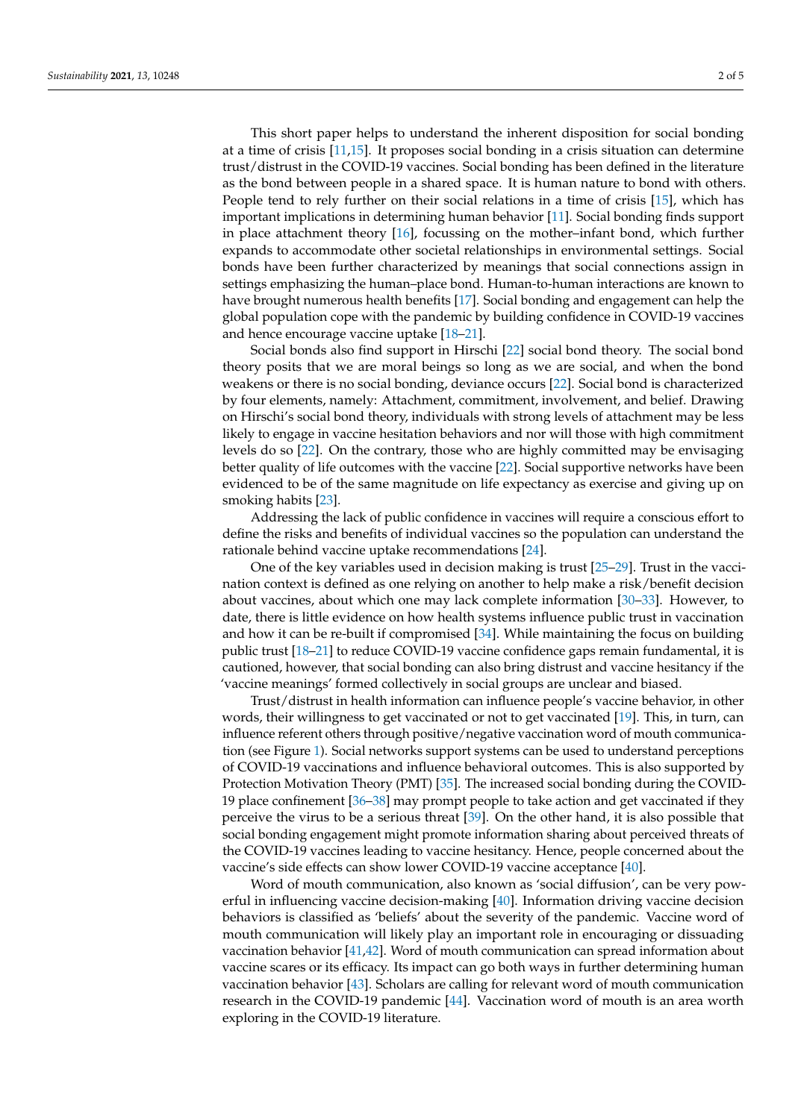This short paper helps to understand the inherent disposition for social bonding at a time of crisis [\[11,](#page-3-9)[15\]](#page-3-13). It proposes social bonding in a crisis situation can determine trust/distrust in the COVID-19 vaccines. Social bonding has been defined in the literature as the bond between people in a shared space. It is human nature to bond with others. People tend to rely further on their social relations in a time of crisis [\[15\]](#page-3-13), which has important implications in determining human behavior [\[11\]](#page-3-9). Social bonding finds support in place attachment theory [\[16\]](#page-3-14), focussing on the mother–infant bond, which further expands to accommodate other societal relationships in environmental settings. Social bonds have been further characterized by meanings that social connections assign in settings emphasizing the human–place bond. Human-to-human interactions are known to have brought numerous health benefits [\[17\]](#page-3-15). Social bonding and engagement can help the global population cope with the pandemic by building confidence in COVID-19 vaccines and hence encourage vaccine uptake [\[18–](#page-3-16)[21\]](#page-3-17).

Social bonds also find support in Hirschi [\[22\]](#page-3-18) social bond theory. The social bond theory posits that we are moral beings so long as we are social, and when the bond weakens or there is no social bonding, deviance occurs [\[22\]](#page-3-18). Social bond is characterized by four elements, namely: Attachment, commitment, involvement, and belief. Drawing on Hirschi's social bond theory, individuals with strong levels of attachment may be less likely to engage in vaccine hesitation behaviors and nor will those with high commitment levels do so [\[22\]](#page-3-18). On the contrary, those who are highly committed may be envisaging better quality of life outcomes with the vaccine [\[22\]](#page-3-18). Social supportive networks have been evidenced to be of the same magnitude on life expectancy as exercise and giving up on smoking habits [\[23\]](#page-3-19).

Addressing the lack of public confidence in vaccines will require a conscious effort to define the risks and benefits of individual vaccines so the population can understand the rationale behind vaccine uptake recommendations [\[24\]](#page-3-20).

One of the key variables used in decision making is trust [\[25–](#page-3-21)[29\]](#page-4-0). Trust in the vaccination context is defined as one relying on another to help make a risk/benefit decision about vaccines, about which one may lack complete information [\[30–](#page-4-1)[33\]](#page-4-2). However, to date, there is little evidence on how health systems influence public trust in vaccination and how it can be re-built if compromised [\[34\]](#page-4-3). While maintaining the focus on building public trust [\[18](#page-3-16)[–21\]](#page-3-17) to reduce COVID-19 vaccine confidence gaps remain fundamental, it is cautioned, however, that social bonding can also bring distrust and vaccine hesitancy if the 'vaccine meanings' formed collectively in social groups are unclear and biased.

Trust/distrust in health information can influence people's vaccine behavior, in other words, their willingness to get vaccinated or not to get vaccinated [\[19\]](#page-3-22). This, in turn, can influence referent others through positive/negative vaccination word of mouth communication (see Figure [1\)](#page-2-0). Social networks support systems can be used to understand perceptions of COVID-19 vaccinations and influence behavioral outcomes. This is also supported by Protection Motivation Theory (PMT) [\[35\]](#page-4-4). The increased social bonding during the COVID-19 place confinement [\[36](#page-4-5)[–38\]](#page-4-6) may prompt people to take action and get vaccinated if they perceive the virus to be a serious threat [\[39\]](#page-4-7). On the other hand, it is also possible that social bonding engagement might promote information sharing about perceived threats of the COVID-19 vaccines leading to vaccine hesitancy. Hence, people concerned about the vaccine's side effects can show lower COVID-19 vaccine acceptance [\[40\]](#page-4-8).

Word of mouth communication, also known as 'social diffusion', can be very powerful in influencing vaccine decision-making [\[40\]](#page-4-8). Information driving vaccine decision behaviors is classified as 'beliefs' about the severity of the pandemic. Vaccine word of mouth communication will likely play an important role in encouraging or dissuading vaccination behavior [\[41,](#page-4-9)[42\]](#page-4-10). Word of mouth communication can spread information about vaccine scares or its efficacy. Its impact can go both ways in further determining human vaccination behavior [\[43\]](#page-4-11). Scholars are calling for relevant word of mouth communication research in the COVID-19 pandemic [\[44\]](#page-4-12). Vaccination word of mouth is an area worth exploring in the COVID-19 literature.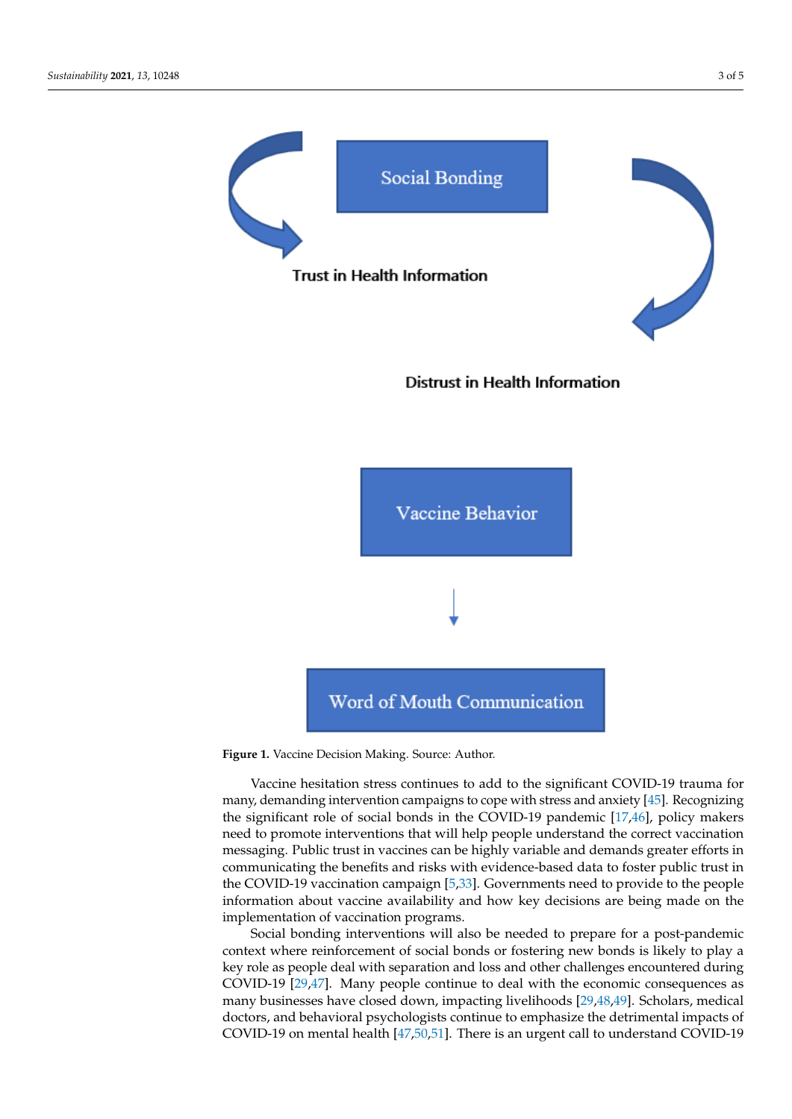<span id="page-2-0"></span>



Distrust in Health Information



**Figure 1.** Vaccine Decision Making. Source: Author. **Figure 1.** Vaccine Decision Making. Source: Author.

Vaccine hesitation stress continues to add to the significant COVID-19 trauma for Vaccine hesitation stress continues to add to the significant COVID-19 trauma for many, demanding intervention campaigns to cope with stress and anxiety [\[45\]](#page-4-13). Recognizing ing the significant role of social bonds in the COVID-19 pandemic [17,46], policy makers the significant role of social bonds in the COVID-19 pandemic [\[17,](#page-3-15)[46\]](#page-4-14), policy makers need to promote interventions that will help people understand the correct vaccination need to promote interventions that will help people understand the correct vaccination messaging. Public trust in vaccines can be highly variable and demands greater efforts in messaging. Public trust in vaccines can be highly variable and demands greater efforts in communicating the benefits and risks with evidence-based data to foster public trust in communicating the benefits and risks with evidence-based data to foster public trust in the COVID-19 vaccination campaign [\[5,](#page-3-3)[33\]](#page-4-2). Governments need to provide to the people in the covidinformation about vaccine availability and how key decisions are being made on the implementation of vaccination programs.

plementation of vaccination programs. Social bonding interventions will also be needed to prepare for a post-pandemic context where reinforcement of social bonds or fostering new bonds is likely to play a key role as people deal with separation and loss and other challenges encountered during COVID-19 [\[29](#page-4-0)[,47\]](#page-4-15). Many people continue to deal with the economic consequences as many businesses have closed down, impacting livelihoods [\[29](#page-4-0)[,48](#page-4-16)[,49\]](#page-4-17). Scholars, medical doctors, and behavioral psychologists continue to emphasize the detrimental impacts of COVID-19 on mental health [\[47,](#page-4-15)[50,](#page-4-18)[51\]](#page-4-19). There is an urgent call to understand COVID-19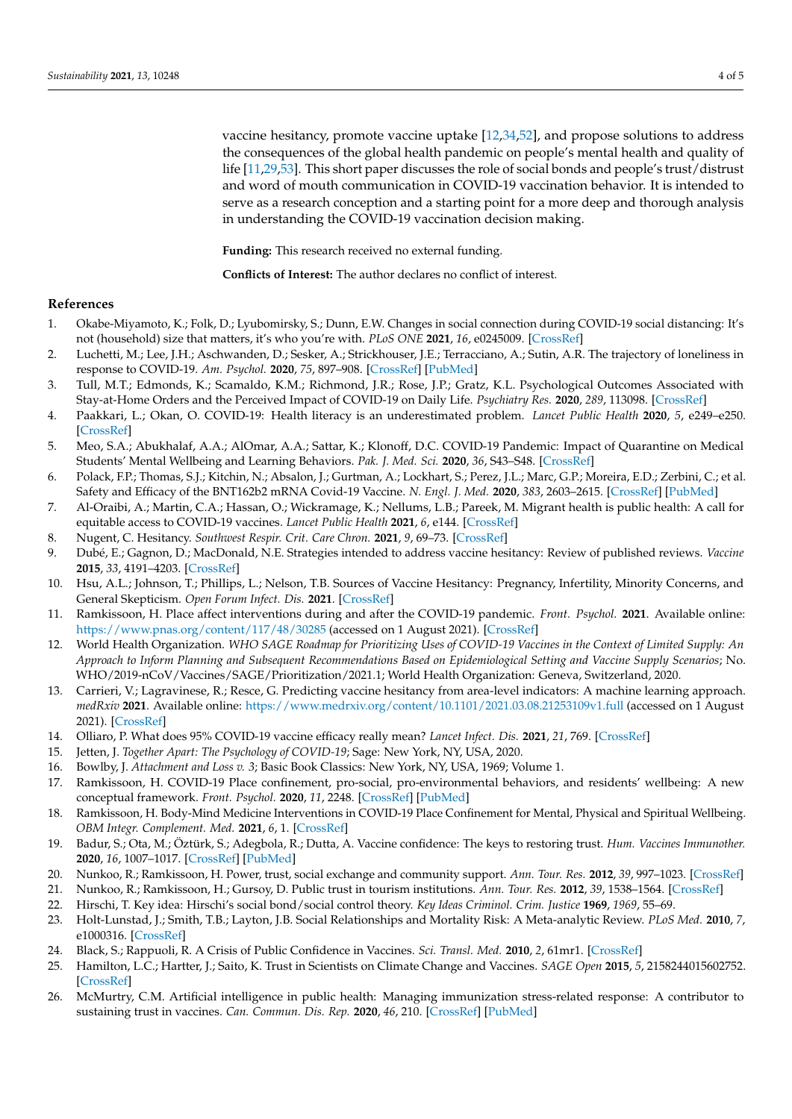vaccine hesitancy, promote vaccine uptake [\[12](#page-3-10)[,34,](#page-4-3)[52\]](#page-4-20), and propose solutions to address the consequences of the global health pandemic on people's mental health and quality of life [\[11,](#page-3-9)[29](#page-4-0)[,53\]](#page-4-21). This short paper discusses the role of social bonds and people's trust/distrust and word of mouth communication in COVID-19 vaccination behavior. It is intended to serve as a research conception and a starting point for a more deep and thorough analysis in understanding the COVID-19 vaccination decision making.

**Funding:** This research received no external funding.

**Conflicts of Interest:** The author declares no conflict of interest.

## **References**

- <span id="page-3-0"></span>1. Okabe-Miyamoto, K.; Folk, D.; Lyubomirsky, S.; Dunn, E.W. Changes in social connection during COVID-19 social distancing: It's not (household) size that matters, it's who you're with. *PLoS ONE* **2021**, *16*, e0245009. [\[CrossRef\]](http://doi.org/10.1371/journal.pone.0245009)
- 2. Luchetti, M.; Lee, J.H.; Aschwanden, D.; Sesker, A.; Strickhouser, J.E.; Terracciano, A.; Sutin, A.R. The trajectory of loneliness in response to COVID-19. *Am. Psychol.* **2020**, *75*, 897–908. [\[CrossRef\]](http://doi.org/10.1037/amp0000690) [\[PubMed\]](http://www.ncbi.nlm.nih.gov/pubmed/32567879)
- <span id="page-3-1"></span>3. Tull, M.T.; Edmonds, K.; Scamaldo, K.M.; Richmond, J.R.; Rose, J.P.; Gratz, K.L. Psychological Outcomes Associated with Stay-at-Home Orders and the Perceived Impact of COVID-19 on Daily Life. *Psychiatry Res.* **2020**, *289*, 113098. [\[CrossRef\]](http://doi.org/10.1016/j.psychres.2020.113098)
- <span id="page-3-2"></span>4. Paakkari, L.; Okan, O. COVID-19: Health literacy is an underestimated problem. *Lancet Public Health* **2020**, *5*, e249–e250. [\[CrossRef\]](http://doi.org/10.1016/S2468-2667(20)30086-4)
- <span id="page-3-3"></span>5. Meo, S.A.; Abukhalaf, A.A.; AlOmar, A.A.; Sattar, K.; Klonoff, D.C. COVID-19 Pandemic: Impact of Quarantine on Medical Students' Mental Wellbeing and Learning Behaviors. *Pak. J. Med. Sci.* **2020**, *36*, S43–S48. [\[CrossRef\]](http://doi.org/10.12669/pjms.36.COVID19-S4.2809)
- <span id="page-3-4"></span>6. Polack, F.P.; Thomas, S.J.; Kitchin, N.; Absalon, J.; Gurtman, A.; Lockhart, S.; Perez, J.L.; Marc, G.P.; Moreira, E.D.; Zerbini, C.; et al. Safety and Efficacy of the BNT162b2 mRNA Covid-19 Vaccine. *N. Engl. J. Med.* **2020**, *383*, 2603–2615. [\[CrossRef\]](http://doi.org/10.1056/NEJMoa2034577) [\[PubMed\]](http://www.ncbi.nlm.nih.gov/pubmed/33301246)
- <span id="page-3-5"></span>7. Al-Oraibi, A.; Martin, C.A.; Hassan, O.; Wickramage, K.; Nellums, L.B.; Pareek, M. Migrant health is public health: A call for equitable access to COVID-19 vaccines. *Lancet Public Health* **2021**, *6*, e144. [\[CrossRef\]](http://doi.org/10.1016/S2468-2667(21)00031-1)
- <span id="page-3-6"></span>8. Nugent, C. Hesitancy. *Southwest Respir. Crit. Care Chron.* **2021**, *9*, 69–73. [\[CrossRef\]](http://doi.org/10.12746/swrccc.v9i40.909)
- <span id="page-3-7"></span>9. Dubé, E.; Gagnon, D.; MacDonald, N.E. Strategies intended to address vaccine hesitancy: Review of published reviews. *Vaccine* **2015**, *33*, 4191–4203. [\[CrossRef\]](http://doi.org/10.1016/j.vaccine.2015.04.041)
- <span id="page-3-8"></span>10. Hsu, A.L.; Johnson, T.; Phillips, L.; Nelson, T.B. Sources of Vaccine Hesitancy: Pregnancy, Infertility, Minority Concerns, and General Skepticism. *Open Forum Infect. Dis.* **2021**. [\[CrossRef\]](http://doi.org/10.1093/ofid/ofab433)
- <span id="page-3-9"></span>11. Ramkissoon, H. Place affect interventions during and after the COVID-19 pandemic. *Front. Psychol.* **2021**. Available online: <https://www.pnas.org/content/117/48/30285> (accessed on 1 August 2021). [\[CrossRef\]](http://doi.org/10.3389/fpsyg.2021.726685)
- <span id="page-3-10"></span>12. World Health Organization. *WHO SAGE Roadmap for Prioritizing Uses of COVID-19 Vaccines in the Context of Limited Supply: An Approach to Inform Planning and Subsequent Recommendations Based on Epidemiological Setting and Vaccine Supply Scenarios*; No. WHO/2019-nCoV/Vaccines/SAGE/Prioritization/2021.1; World Health Organization: Geneva, Switzerland, 2020.
- <span id="page-3-11"></span>13. Carrieri, V.; Lagravinese, R.; Resce, G. Predicting vaccine hesitancy from area-level indicators: A machine learning approach. *medRxiv* **2021**. Available online: <https://www.medrxiv.org/content/10.1101/2021.03.08.21253109v1.full> (accessed on 1 August 2021). [\[CrossRef\]](http://doi.org/10.1101/2021.03.08.21253109)
- <span id="page-3-12"></span>14. Olliaro, P. What does 95% COVID-19 vaccine efficacy really mean? *Lancet Infect. Dis.* **2021**, *21*, 769. [\[CrossRef\]](http://doi.org/10.1016/S1473-3099(21)00075-X)
- <span id="page-3-13"></span>15. Jetten, J. *Together Apart: The Psychology of COVID-19*; Sage: New York, NY, USA, 2020.
- <span id="page-3-14"></span>16. Bowlby, J. *Attachment and Loss v. 3*; Basic Book Classics: New York, NY, USA, 1969; Volume 1.
- <span id="page-3-15"></span>17. Ramkissoon, H. COVID-19 Place confinement, pro-social, pro-environmental behaviors, and residents' wellbeing: A new conceptual framework. *Front. Psychol.* **2020**, *11*, 2248. [\[CrossRef\]](http://doi.org/10.3389/fpsyg.2020.02248) [\[PubMed\]](http://www.ncbi.nlm.nih.gov/pubmed/32982895)
- <span id="page-3-16"></span>18. Ramkissoon, H. Body-Mind Medicine Interventions in COVID-19 Place Confinement for Mental, Physical and Spiritual Wellbeing. *OBM Integr. Complement. Med.* **2021**, *6*, 1. [\[CrossRef\]](http://doi.org/10.21926/obm.icm.2102016)
- <span id="page-3-22"></span>19. Badur, S.; Ota, M.; Öztürk, S.; Adegbola, R.; Dutta, A. Vaccine confidence: The keys to restoring trust. *Hum. Vaccines Immunother.* **2020**, *16*, 1007–1017. [\[CrossRef\]](http://doi.org/10.1080/21645515.2020.1740559) [\[PubMed\]](http://www.ncbi.nlm.nih.gov/pubmed/32298198)
- 20. Nunkoo, R.; Ramkissoon, H. Power, trust, social exchange and community support. *Ann. Tour. Res.* **2012**, *39*, 997–1023. [\[CrossRef\]](http://doi.org/10.1016/j.annals.2011.11.017)
- <span id="page-3-17"></span>21. Nunkoo, R.; Ramkissoon, H.; Gursoy, D. Public trust in tourism institutions. *Ann. Tour. Res.* **2012**, *39*, 1538–1564. [\[CrossRef\]](http://doi.org/10.1016/j.annals.2012.04.004)
- <span id="page-3-18"></span>22. Hirschi, T. Key idea: Hirschi's social bond/social control theory. *Key Ideas Criminol. Crim. Justice* **1969**, *1969*, 55–69.
- <span id="page-3-19"></span>23. Holt-Lunstad, J.; Smith, T.B.; Layton, J.B. Social Relationships and Mortality Risk: A Meta-analytic Review. *PLoS Med.* **2010**, *7*, e1000316. [\[CrossRef\]](http://doi.org/10.1371/journal.pmed.1000316)
- <span id="page-3-20"></span>24. Black, S.; Rappuoli, R. A Crisis of Public Confidence in Vaccines. *Sci. Transl. Med.* **2010**, *2*, 61mr1. [\[CrossRef\]](http://doi.org/10.1126/scitranslmed.3001738)
- <span id="page-3-21"></span>25. Hamilton, L.C.; Hartter, J.; Saito, K. Trust in Scientists on Climate Change and Vaccines. *SAGE Open* **2015**, *5*, 2158244015602752. [\[CrossRef\]](http://doi.org/10.1177/2158244015602752)
- 26. McMurtry, C.M. Artificial intelligence in public health: Managing immunization stress-related response: A contributor to sustaining trust in vaccines. *Can. Commun. Dis. Rep.* **2020**, *46*, 210. [\[CrossRef\]](http://doi.org/10.14745/ccdr.v46i06a10) [\[PubMed\]](http://www.ncbi.nlm.nih.gov/pubmed/32673376)